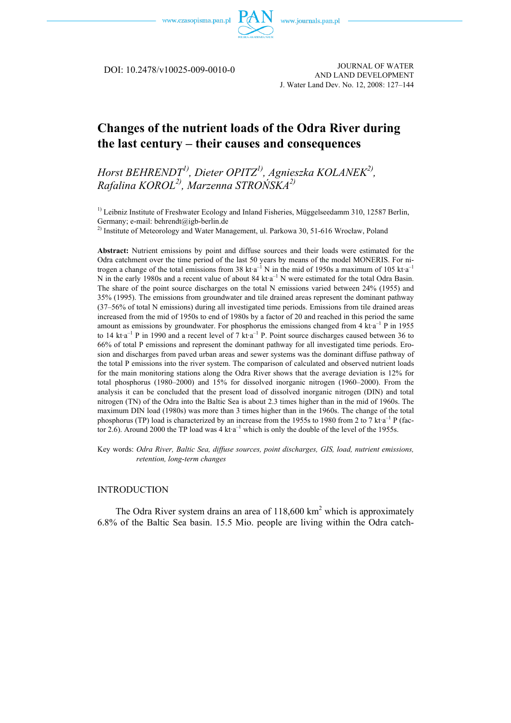

DOI: 10.2478/v10025-009-0010-0

JOURNAL OF WATER AND LAND DEVELOPMENT J. Water Land Dev. No. 12, 2008: 127–144

# **Changes of the nutrient loads of the Odra River during the last century – their causes and consequences**

*Horst BEHRENDT1), Dieter OPITZ1), Agnieszka KOLANEK2), Rafalina KOROL2), Marzenna STROŃSKA2)* 

 $<sup>1</sup>$  Leibniz Institute of Freshwater Ecology and Inland Fisheries, Müggelseedamm 310, 12587 Berlin,</sup> Germany; e-mail: behrendt@igb-berlin.de

<sup>2)</sup> Institute of Meteorology and Water Management, ul. Parkowa 30, 51-616 Wrocław, Poland

**Abstract:** Nutrient emissions by point and diffuse sources and their loads were estimated for the Odra catchment over the time period of the last 50 years by means of the model MONERIS. For nitrogen a change of the total emissions from 38 kt  $a^{-1}$  N in the mid of 1950s a maximum of 105 kt  $a^{-1}$ N in the early 1980s and a recent value of about 84 kt<sup>a</sup> N were estimated for the total Odra Basin. The share of the point source discharges on the total N emissions varied between 24% (1955) and 35% (1995). The emissions from groundwater and tile drained areas represent the dominant pathway (37–56% of total N emissions) during all investigated time periods. Emissions from tile drained areas increased from the mid of 1950s to end of 1980s by a factor of 20 and reached in this period the same amount as emissions by groundwater. For phosphorus the emissions changed from  $4 \text{ kt} \cdot a^{-1}$  P in 1955 to 14 kt $a^{-1}$  P in 1990 and a recent level of 7 kt $a^{-1}$  P. Point source discharges caused between 36 to 66% of total P emissions and represent the dominant pathway for all investigated time periods. Erosion and discharges from paved urban areas and sewer systems was the dominant diffuse pathway of the total P emissions into the river system. The comparison of calculated and observed nutrient loads for the main monitoring stations along the Odra River shows that the average deviation is 12% for total phosphorus (1980–2000) and 15% for dissolved inorganic nitrogen (1960–2000). From the analysis it can be concluded that the present load of dissolved inorganic nitrogen (DIN) and total nitrogen (TN) of the Odra into the Baltic Sea is about 2.3 times higher than in the mid of 1960s. The maximum DIN load (1980s) was more than 3 times higher than in the 1960s. The change of the total phosphorus (TP) load is characterized by an increase from the 1955s to 1980 from 2 to 7 kt·a<sup>-1</sup> P (factor 2.6). Around 2000 the TP load was 4 kt  $a^{-1}$  which is only the double of the level of the 1955s.

Key words: *Odra River, Baltic Sea, diffuse sources, point discharges, GIS, load, nutrient emissions, retention, long-term changes* 

## INTRODUCTION

The Odra River system drains an area of  $118,600 \text{ km}^2$  which is approximately 6.8% of the Baltic Sea basin. 15.5 Mio. people are living within the Odra catch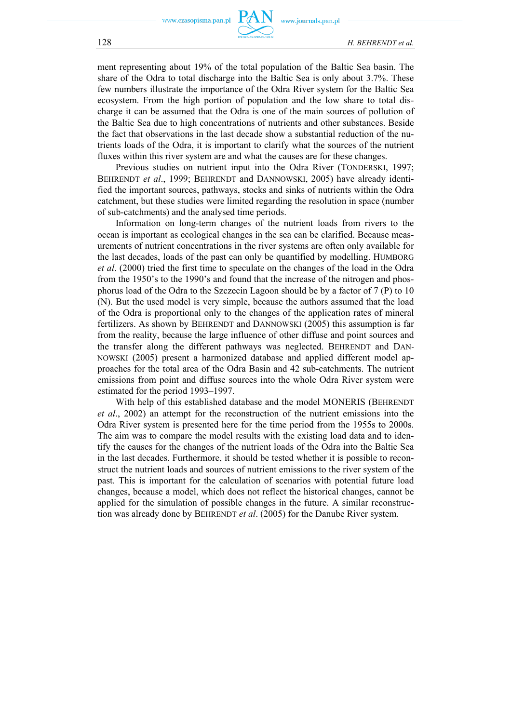ment representing about 19% of the total population of the Baltic Sea basin. The share of the Odra to total discharge into the Baltic Sea is only about 3.7%. These few numbers illustrate the importance of the Odra River system for the Baltic Sea ecosystem. From the high portion of population and the low share to total discharge it can be assumed that the Odra is one of the main sources of pollution of the Baltic Sea due to high concentrations of nutrients and other substances. Beside the fact that observations in the last decade show a substantial reduction of the nutrients loads of the Odra, it is important to clarify what the sources of the nutrient fluxes within this river system are and what the causes are for these changes.

Previous studies on nutrient input into the Odra River (TONDERSKI, 1997; BEHRENDT *et al*., 1999; BEHRENDT and DANNOWSKI, 2005) have already identified the important sources, pathways, stocks and sinks of nutrients within the Odra catchment, but these studies were limited regarding the resolution in space (number of sub-catchments) and the analysed time periods.

Information on long-term changes of the nutrient loads from rivers to the ocean is important as ecological changes in the sea can be clarified. Because measurements of nutrient concentrations in the river systems are often only available for the last decades, loads of the past can only be quantified by modelling. HUMBORG *et al*. (2000) tried the first time to speculate on the changes of the load in the Odra from the 1950's to the 1990's and found that the increase of the nitrogen and phosphorus load of the Odra to the Szczecin Lagoon should be by a factor of 7 (P) to 10 (N). But the used model is very simple, because the authors assumed that the load of the Odra is proportional only to the changes of the application rates of mineral fertilizers. As shown by BEHRENDT and DANNOWSKI (2005) this assumption is far from the reality, because the large influence of other diffuse and point sources and the transfer along the different pathways was neglected. BEHRENDT and DAN-NOWSKI (2005) present a harmonized database and applied different model approaches for the total area of the Odra Basin and 42 sub-catchments. The nutrient emissions from point and diffuse sources into the whole Odra River system were estimated for the period 1993–1997.

With help of this established database and the model MONERIS (BEHRENDT *et al*., 2002) an attempt for the reconstruction of the nutrient emissions into the Odra River system is presented here for the time period from the 1955s to 2000s. The aim was to compare the model results with the existing load data and to identify the causes for the changes of the nutrient loads of the Odra into the Baltic Sea in the last decades. Furthermore, it should be tested whether it is possible to reconstruct the nutrient loads and sources of nutrient emissions to the river system of the past. This is important for the calculation of scenarios with potential future load changes, because a model, which does not reflect the historical changes, cannot be applied for the simulation of possible changes in the future. A similar reconstruction was already done by BEHRENDT *et al*. (2005) for the Danube River system.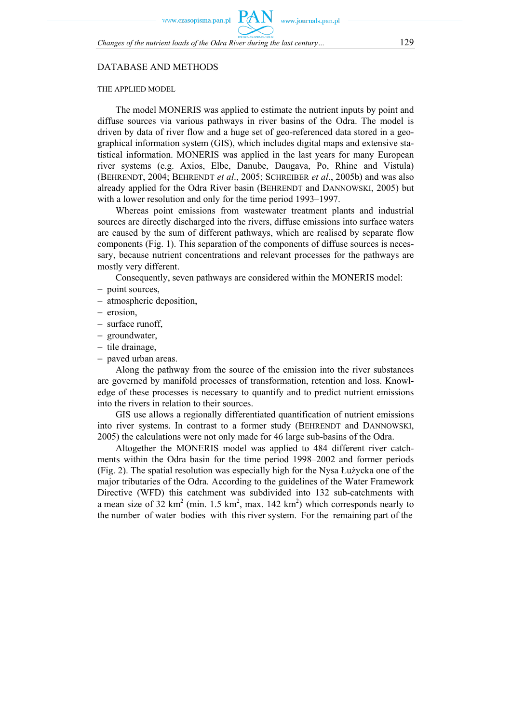*Changes of the nutrient loads of the Odra River during the last century…* 129

## DATABASE AND METHODS

#### THE APPLIED MODEL

The model MONERIS was applied to estimate the nutrient inputs by point and diffuse sources via various pathways in river basins of the Odra. The model is driven by data of river flow and a huge set of geo-referenced data stored in a geographical information system (GIS), which includes digital maps and extensive statistical information. MONERIS was applied in the last years for many European river systems (e.g. Axios, Elbe, Danube, Daugava, Po, Rhine and Vistula) (BEHRENDT, 2004; BEHRENDT *et al*., 2005; SCHREIBER *et al*., 2005b) and was also already applied for the Odra River basin (BEHRENDT and DANNOWSKI, 2005) but with a lower resolution and only for the time period 1993–1997.

Whereas point emissions from wastewater treatment plants and industrial sources are directly discharged into the rivers, diffuse emissions into surface waters are caused by the sum of different pathways, which are realised by separate flow components (Fig. 1). This separation of the components of diffuse sources is necessary, because nutrient concentrations and relevant processes for the pathways are mostly very different.

Consequently, seven pathways are considered within the MONERIS model:

- − point sources,
- − atmospheric deposition,
- − erosion,
- − surface runoff,
- − groundwater,
- − tile drainage,
- − paved urban areas.

Along the pathway from the source of the emission into the river substances are governed by manifold processes of transformation, retention and loss. Knowledge of these processes is necessary to quantify and to predict nutrient emissions into the rivers in relation to their sources.

GIS use allows a regionally differentiated quantification of nutrient emissions into river systems. In contrast to a former study (BEHRENDT and DANNOWSKI, 2005) the calculations were not only made for 46 large sub-basins of the Odra.

Altogether the MONERIS model was applied to 484 different river catchments within the Odra basin for the time period 1998–2002 and former periods (Fig. 2). The spatial resolution was especially high for the Nysa Łużycka one of the major tributaries of the Odra. According to the guidelines of the Water Framework Directive (WFD) this catchment was subdivided into 132 sub-catchments with a mean size of 32 km<sup>2</sup> (min. 1.5 km<sup>2</sup>, max. 142 km<sup>2</sup>) which corresponds nearly to the number of water bodies with this river system. For the remaining part of the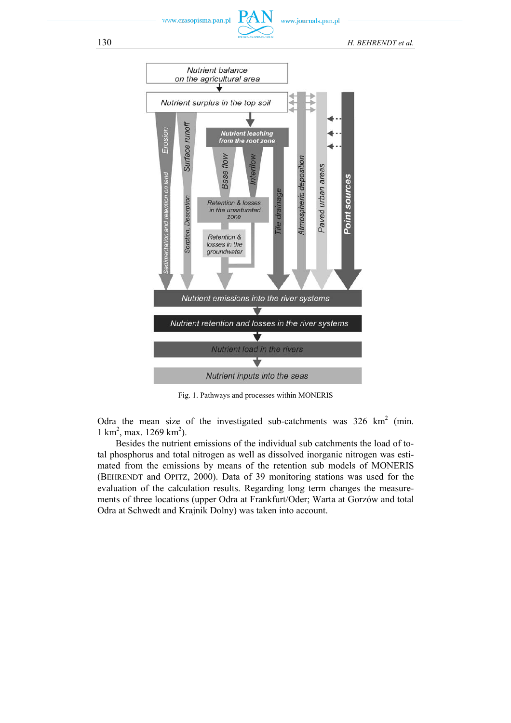www.journals.pan.pl

130 *H. BEHRENDT et al.*



Fig. 1. Pathways and processes within MONERIS

Odra the mean size of the investigated sub-catchments was  $326 \text{ km}^2$  (min.  $1 \text{ km}^2$ , max.  $1269 \text{ km}^2$ ).

Besides the nutrient emissions of the individual sub catchments the load of total phosphorus and total nitrogen as well as dissolved inorganic nitrogen was estimated from the emissions by means of the retention sub models of MONERIS (BEHRENDT and OPITZ, 2000). Data of 39 monitoring stations was used for the evaluation of the calculation results. Regarding long term changes the measurements of three locations (upper Odra at Frankfurt/Oder; Warta at Gorzów and total Odra at Schwedt and Krajnik Dolny) was taken into account.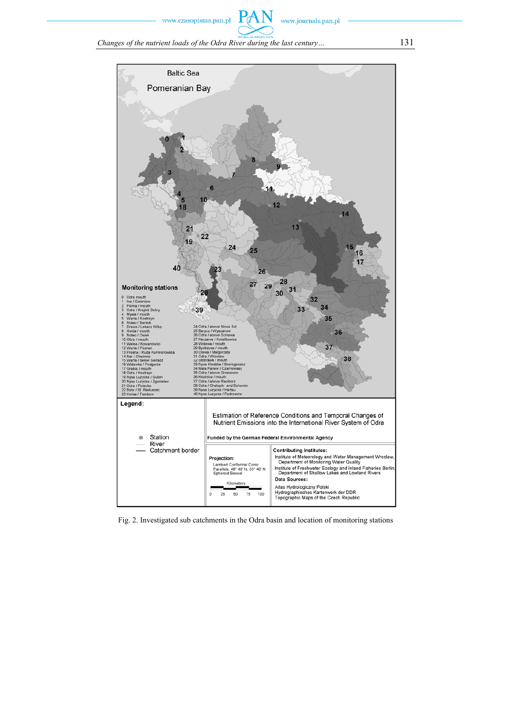

www.journals.pan.pl

*Changes of the nutrient loads of the Odra River during the last century…* 131



Fig. 2. Investigated sub catchments in the Odra basin and location of monitoring stations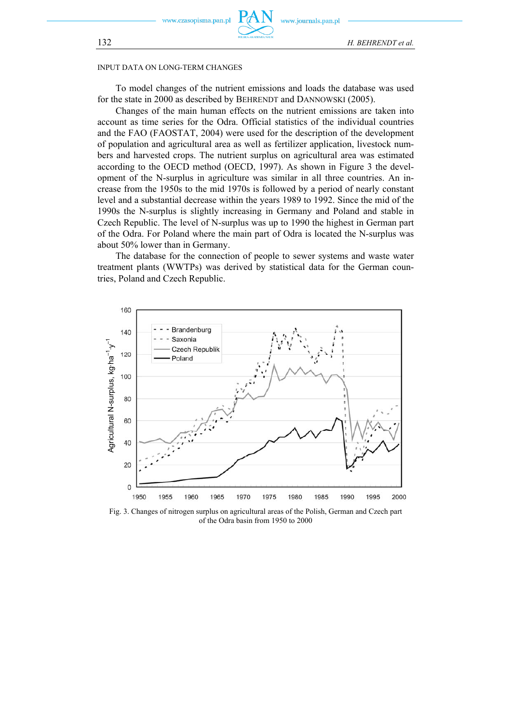

w.journals.pan.pl

#### INPUT DATA ON LONG-TERM CHANGES

To model changes of the nutrient emissions and loads the database was used for the state in 2000 as described by BEHRENDT and DANNOWSKI (2005).

Changes of the main human effects on the nutrient emissions are taken into account as time series for the Odra. Official statistics of the individual countries and the FAO (FAOSTAT, 2004) were used for the description of the development of population and agricultural area as well as fertilizer application, livestock numbers and harvested crops. The nutrient surplus on agricultural area was estimated according to the OECD method (OECD, 1997). As shown in Figure 3 the development of the N-surplus in agriculture was similar in all three countries. An increase from the 1950s to the mid 1970s is followed by a period of nearly constant level and a substantial decrease within the years 1989 to 1992. Since the mid of the 1990s the N-surplus is slightly increasing in Germany and Poland and stable in Czech Republic. The level of N-surplus was up to 1990 the highest in German part of the Odra. For Poland where the main part of Odra is located the N-surplus was about 50% lower than in Germany.

The database for the connection of people to sewer systems and waste water treatment plants (WWTPs) was derived by statistical data for the German countries, Poland and Czech Republic.



Fig. 3. Changes of nitrogen surplus on agricultural areas of the Polish, German and Czech part of the Odra basin from 1950 to 2000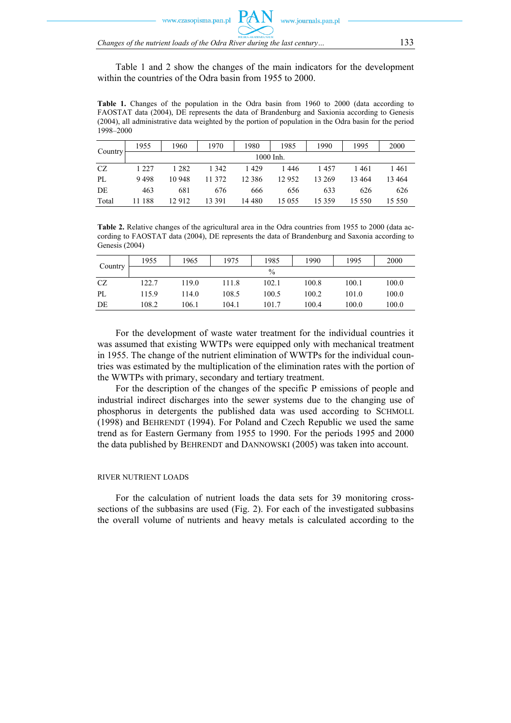www.czasonisma.nan.nl

*Changes of the nutrient loads of the Odra River during the last century…* 133

Table 1 and 2 show the changes of the main indicators for the development within the countries of the Odra basin from 1955 to 2000.

**Table 1.** Changes of the population in the Odra basin from 1960 to 2000 (data according to FAOSTAT data (2004), DE represents the data of Brandenburg and Saxionia according to Genesis (2004), all administrative data weighted by the portion of population in the Odra basin for the period 1998–2000

| Country | 1955      | 1960    | 1970    | 1980     | 1985    | 1990     | 1995   | 2000    |
|---------|-----------|---------|---------|----------|---------|----------|--------|---------|
|         | 1000 Inh. |         |         |          |         |          |        |         |
| CZ      | 1 2 2 7   | 1 2 8 2 | 1 3 4 2 | 1429     | 1446    | 1457     | 1461   | 1461    |
| PL      | 9498      | 10 948  | 11 372  | 12 3 8 6 | 12952   | 13 269   | 13464  | 13 4 64 |
| DE      | 463       | 681     | 676     | 666      | 656     | 633      | 626    | 626     |
| Total   | 11 188    | 12912   | 13 391  | 14 480   | 15 0 55 | 15 3 5 9 | 15 550 | 15 550  |

**Table 2.** Relative changes of the agricultural area in the Odra countries from 1955 to 2000 (data according to FAOSTAT data (2004), DE represents the data of Brandenburg and Saxonia according to Genesis (2004)

| Country | 1955  | 1965  | 1975  | 1985  | 1990  | 1995  | 2000  |
|---------|-------|-------|-------|-------|-------|-------|-------|
|         |       |       |       | $\%$  |       |       |       |
| CZ      | 122.7 | 119.0 | 111.8 | 102.1 | 100.8 | 100.1 | 100.0 |
| PL      | 115.9 | 114.0 | 108.5 | 100.5 | 100.2 | 101.0 | 100.0 |
| DE      | 108.2 | 106.1 | 104.1 | 101.7 | 100.4 | 100.0 | 100.0 |

For the development of waste water treatment for the individual countries it was assumed that existing WWTPs were equipped only with mechanical treatment in 1955. The change of the nutrient elimination of WWTPs for the individual countries was estimated by the multiplication of the elimination rates with the portion of the WWTPs with primary, secondary and tertiary treatment.

For the description of the changes of the specific P emissions of people and industrial indirect discharges into the sewer systems due to the changing use of phosphorus in detergents the published data was used according to SCHMOLL (1998) and BEHRENDT (1994). For Poland and Czech Republic we used the same trend as for Eastern Germany from 1955 to 1990. For the periods 1995 and 2000 the data published by BEHRENDT and DANNOWSKI (2005) was taken into account.

#### RIVER NUTRIENT LOADS

For the calculation of nutrient loads the data sets for 39 monitoring crosssections of the subbasins are used (Fig. 2). For each of the investigated subbasins the overall volume of nutrients and heavy metals is calculated according to the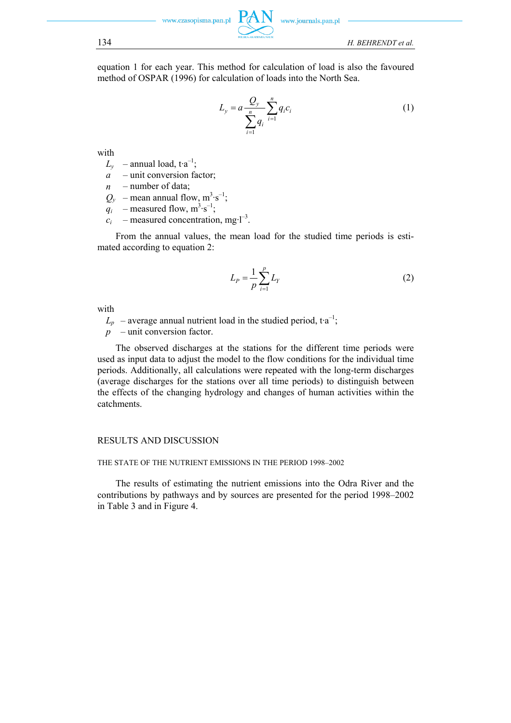equation 1 for each year. This method for calculation of load is also the favoured method of OSPAR (1996) for calculation of loads into the North Sea.

$$
L_{y} = a \frac{Q_{y}}{\sum_{i=1}^{n} q_{i}} \sum_{i=1}^{n} q_{i} c_{i}
$$
 (1)

with

- $L_v$  annual load, t<sup>a-1</sup>;
- *a*  unit conversion factor;
- *n*  number of data;
- $Q_y$  mean annual flow,  $m^3 s^{-1}$ ;
- $q_i$  measured flow,  $m^3 \cdot s^{-1}$ ;
- $c_i$  measured concentration, mg·l<sup>-3</sup>.

From the annual values, the mean load for the studied time periods is estimated according to equation 2:

$$
L_p = \frac{1}{p} \sum_{i=1}^{p} L_Y
$$
 (2)

with

 $L_p$  – average annual nutrient load in the studied period, t $a^{-1}$ ;

*p* – unit conversion factor.

The observed discharges at the stations for the different time periods were used as input data to adjust the model to the flow conditions for the individual time periods. Additionally, all calculations were repeated with the long-term discharges (average discharges for the stations over all time periods) to distinguish between the effects of the changing hydrology and changes of human activities within the catchments.

#### RESULTS AND DISCUSSION

## THE STATE OF THE NUTRIENT EMISSIONS IN THE PERIOD 1998–2002

The results of estimating the nutrient emissions into the Odra River and the contributions by pathways and by sources are presented for the period 1998–2002 in Table 3 and in Figure 4.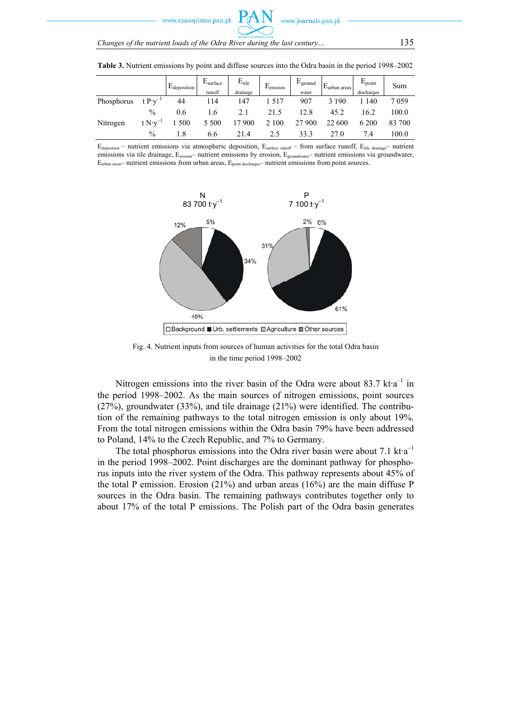w czasonisma nan n

| POUSE A AR ADEMIA NAUR                                                  |     |
|-------------------------------------------------------------------------|-----|
| Changes of the nutrient loads of the Odra River during the last century | 135 |

|            |                    | $E_{\text{deposition}}$ | E <sub>surface</sub><br>runoff | $E_{tile}$<br>drainage | $E_{\rm erosion}$ | $E_{ground}$<br>water | $E$ <sub>urban</sub> areas | $E_{\text{point}}$<br>discharges | Sum    |
|------------|--------------------|-------------------------|--------------------------------|------------------------|-------------------|-----------------------|----------------------------|----------------------------------|--------|
| Phosphorus | t $P\cdot v^{-1}$  | 44                      | 114                            | 147                    | 1517              | 907                   | 3 1 9 0                    | 140                              | 7059   |
|            | $\%$               | 0.6                     | .6                             | 2.1                    | 21.5              | 12.8                  | 45.2                       | 16.2                             | 100.0  |
| Nitrogen   | t $N \cdot v^{-1}$ | 1 500                   | 5 5 0 0                        | 17 900                 | 2 1 0 0           | 27 900                | 22 600                     | 6 200                            | 83 700 |
|            | $\%$               | 1.8                     | 6.6                            | 21.4                   | 2.5               | 33.3                  | 27.0                       | 7.4                              | 100.0  |

**Table 3.** Nutrient emissions by point and diffuse sources into the Odra basin in the period 1998–2002

 $E_{\text{denosition}}$  – nutrient emissions via atmospheric deposition,  $E_{\text{surface number}}$  from surface runoff,  $E_{\text{tile number}}$  nutrient emissions via tile drainage, E<sub>erosion</sub>– nutrient emissions by erosion, E<sub>groundwater</sub>– nutrient emissions via groundwater, Eurban areas– nutrient emissions from urban areas, Epoint discharges– nutrient emissions from point sources.



Fig. 4. Nutrient inputs from sources of human activities for the total Odra basin in the time period 1998–2002

Nitrogen emissions into the river basin of the Odra were about 83.7 kt $a^{-1}$  in the period 1998–2002. As the main sources of nitrogen emissions, point sources (27%), groundwater (33%), and tile drainage (21%) were identified. The contribution of the remaining pathways to the total nitrogen emission is only about 19%. From the total nitrogen emissions within the Odra basin 79% have been addressed to Poland, 14% to the Czech Republic, and 7% to Germany.

The total phosphorus emissions into the Odra river basin were about 7.1 kt $a^{-1}$ in the period 1998–2002. Point discharges are the dominant pathway for phosphorus inputs into the river system of the Odra. This pathway represents about 45% of the total P emission. Erosion (21%) and urban areas (16%) are the main diffuse P sources in the Odra basin. The remaining pathways contributes together only to about 17% of the total P emissions. The Polish part of the Odra basin generates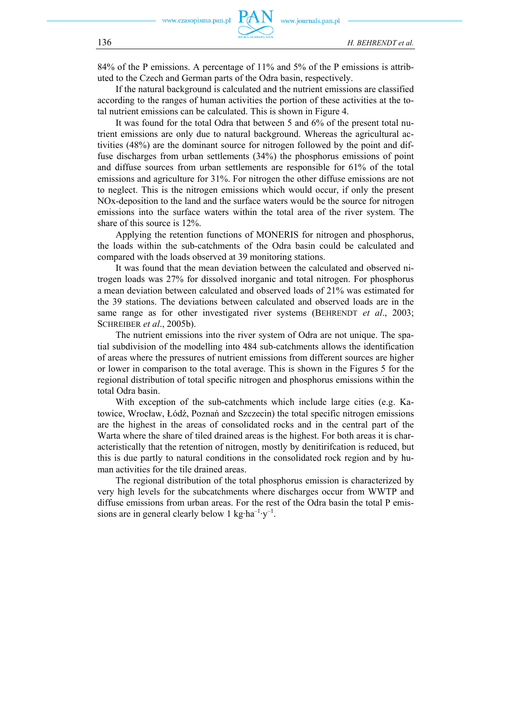84% of the P emissions. A percentage of 11% and 5% of the P emissions is attributed to the Czech and German parts of the Odra basin, respectively.

If the natural background is calculated and the nutrient emissions are classified according to the ranges of human activities the portion of these activities at the total nutrient emissions can be calculated. This is shown in Figure 4.

It was found for the total Odra that between 5 and 6% of the present total nutrient emissions are only due to natural background. Whereas the agricultural activities (48%) are the dominant source for nitrogen followed by the point and diffuse discharges from urban settlements (34%) the phosphorus emissions of point and diffuse sources from urban settlements are responsible for 61% of the total emissions and agriculture for 31%. For nitrogen the other diffuse emissions are not to neglect. This is the nitrogen emissions which would occur, if only the present NOx-deposition to the land and the surface waters would be the source for nitrogen emissions into the surface waters within the total area of the river system. The share of this source is 12%.

Applying the retention functions of MONERIS for nitrogen and phosphorus, the loads within the sub-catchments of the Odra basin could be calculated and compared with the loads observed at 39 monitoring stations.

It was found that the mean deviation between the calculated and observed nitrogen loads was 27% for dissolved inorganic and total nitrogen. For phosphorus a mean deviation between calculated and observed loads of 21% was estimated for the 39 stations. The deviations between calculated and observed loads are in the same range as for other investigated river systems (BEHRENDT *et al*., 2003; SCHREIBER *et al*., 2005b).

The nutrient emissions into the river system of Odra are not unique. The spatial subdivision of the modelling into 484 sub-catchments allows the identification of areas where the pressures of nutrient emissions from different sources are higher or lower in comparison to the total average. This is shown in the Figures 5 for the regional distribution of total specific nitrogen and phosphorus emissions within the total Odra basin.

With exception of the sub-catchments which include large cities (e.g. Katowice, Wrocław, Łódź, Poznań and Szczecin) the total specific nitrogen emissions are the highest in the areas of consolidated rocks and in the central part of the Warta where the share of tiled drained areas is the highest. For both areas it is characteristically that the retention of nitrogen, mostly by denitirifcation is reduced, but this is due partly to natural conditions in the consolidated rock region and by human activities for the tile drained areas.

The regional distribution of the total phosphorus emission is characterized by very high levels for the subcatchments where discharges occur from WWTP and diffuse emissions from urban areas. For the rest of the Odra basin the total P emissions are in general clearly below 1 kg $\cdot$ ha<sup>-1</sup> $\cdot$ y<sup>-1</sup>.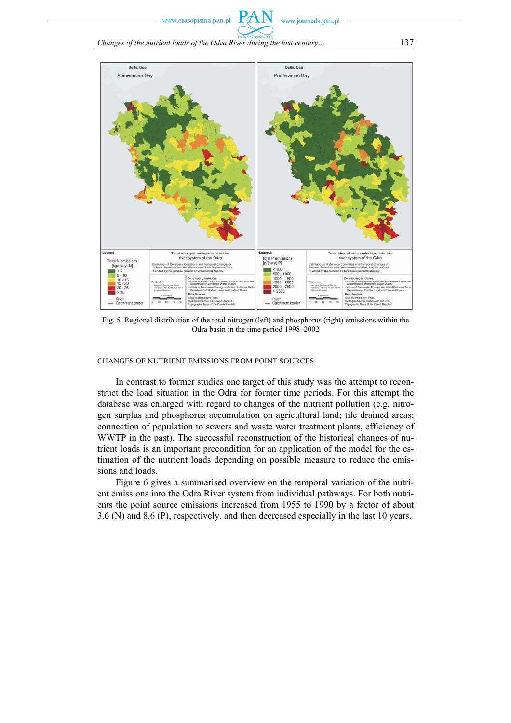www.journals.pan.pl

*Changes of the nutrient loads of the Odra River during the last century…* 137



Fig. 5. Regional distribution of the total nitrogen (left) and phosphorus (right) emissions within the Odra basin in the time period 1998–2002

CHANGES OF NUTRIENT EMISSIONS FROM POINT SOURCES

In contrast to former studies one target of this study was the attempt to reconstruct the load situation in the Odra for former time periods. For this attempt the database was enlarged with regard to changes of the nutrient pollution (e.g. nitrogen surplus and phosphorus accumulation on agricultural land; tile drained areas; connection of population to sewers and waste water treatment plants, efficiency of WWTP in the past). The successful reconstruction of the historical changes of nutrient loads is an important precondition for an application of the model for the estimation of the nutrient loads depending on possible measure to reduce the emissions and loads.

Figure 6 gives a summarised overview on the temporal variation of the nutrient emissions into the Odra River system from individual pathways. For both nutrients the point source emissions increased from 1955 to 1990 by a factor of about 3.6 (N) and 8.6 (P), respectively, and then decreased especially in the last 10 years.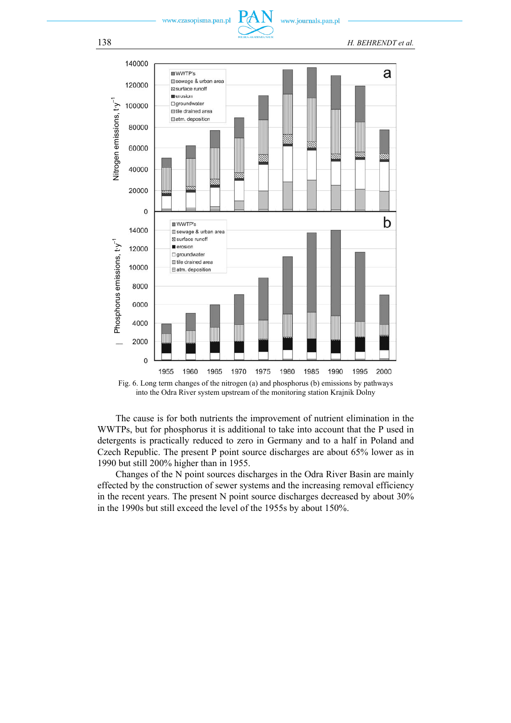www.journals.pan.pl

138 *H. BEHRENDT et al.*



Fig. 6. Long term changes of the nitrogen (a) and phosphorus (b) emissions by pathways into the Odra River system upstream of the monitoring station Krajnik Dolny

The cause is for both nutrients the improvement of nutrient elimination in the WWTPs, but for phosphorus it is additional to take into account that the P used in detergents is practically reduced to zero in Germany and to a half in Poland and Czech Republic. The present P point source discharges are about 65% lower as in 1990 but still 200% higher than in 1955.

Changes of the N point sources discharges in the Odra River Basin are mainly effected by the construction of sewer systems and the increasing removal efficiency in the recent years. The present N point source discharges decreased by about 30%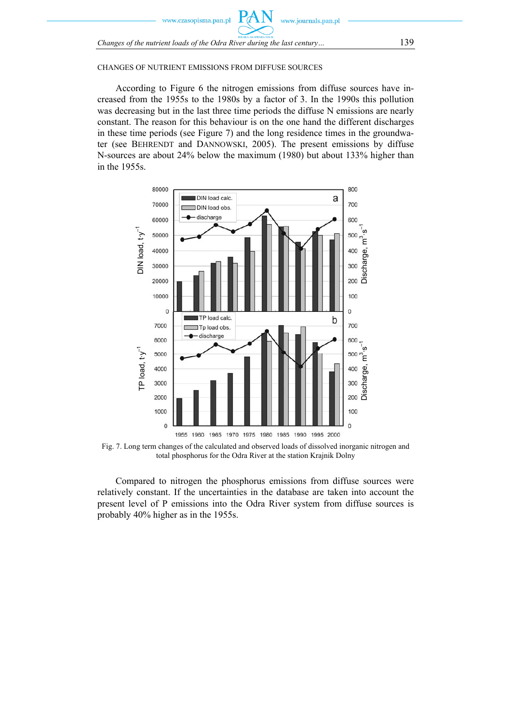

#### CHANGES OF NUTRIENT EMISSIONS FROM DIFFUSE SOURCES

According to Figure 6 the nitrogen emissions from diffuse sources have increased from the 1955s to the 1980s by a factor of 3. In the 1990s this pollution was decreasing but in the last three time periods the diffuse N emissions are nearly constant. The reason for this behaviour is on the one hand the different discharges in these time periods (see Figure 7) and the long residence times in the groundwater (see BEHRENDT and DANNOWSKI, 2005). The present emissions by diffuse N-sources are about 24% below the maximum (1980) but about 133% higher than in the 1955s.



Fig. 7. Long term changes of the calculated and observed loads of dissolved inorganic nitrogen and total phosphorus for the Odra River at the station Krajnik Dolny

Compared to nitrogen the phosphorus emissions from diffuse sources were relatively constant. If the uncertainties in the database are taken into account the present level of P emissions into the Odra River system from diffuse sources is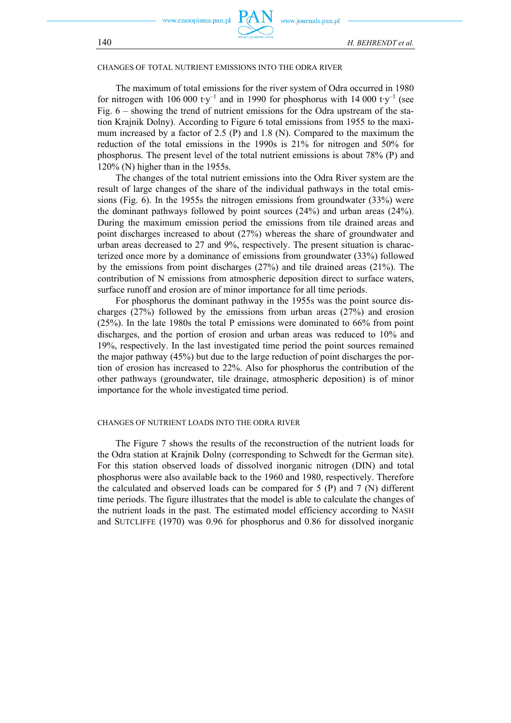zasonisma nan nl



#### CHANGES OF TOTAL NUTRIENT EMISSIONS INTO THE ODRA RIVER

The maximum of total emissions for the river system of Odra occurred in 1980 for nitrogen with 106 000 t $v^{-1}$  and in 1990 for phosphorus with 14 000 t $v^{-1}$  (see Fig. 6 – showing the trend of nutrient emissions for the Odra upstream of the station Krajnik Dolny). According to Figure 6 total emissions from 1955 to the maximum increased by a factor of 2.5 (P) and 1.8 (N). Compared to the maximum the reduction of the total emissions in the 1990s is 21% for nitrogen and 50% for phosphorus. The present level of the total nutrient emissions is about 78% (P) and 120% (N) higher than in the 1955s.

The changes of the total nutrient emissions into the Odra River system are the result of large changes of the share of the individual pathways in the total emissions (Fig. 6). In the 1955s the nitrogen emissions from groundwater (33%) were the dominant pathways followed by point sources (24%) and urban areas (24%). During the maximum emission period the emissions from tile drained areas and point discharges increased to about (27%) whereas the share of groundwater and urban areas decreased to 27 and 9%, respectively. The present situation is characterized once more by a dominance of emissions from groundwater (33%) followed by the emissions from point discharges (27%) and tile drained areas (21%). The contribution of N emissions from atmospheric deposition direct to surface waters, surface runoff and erosion are of minor importance for all time periods.

For phosphorus the dominant pathway in the 1955s was the point source discharges (27%) followed by the emissions from urban areas (27%) and erosion (25%). In the late 1980s the total P emissions were dominated to 66% from point discharges, and the portion of erosion and urban areas was reduced to 10% and 19%, respectively. In the last investigated time period the point sources remained the major pathway (45%) but due to the large reduction of point discharges the portion of erosion has increased to 22%. Also for phosphorus the contribution of the other pathways (groundwater, tile drainage, atmospheric deposition) is of minor importance for the whole investigated time period.

#### CHANGES OF NUTRIENT LOADS INTO THE ODRA RIVER

The Figure 7 shows the results of the reconstruction of the nutrient loads for the Odra station at Krajnik Dolny (corresponding to Schwedt for the German site). For this station observed loads of dissolved inorganic nitrogen (DIN) and total phosphorus were also available back to the 1960 and 1980, respectively. Therefore the calculated and observed loads can be compared for 5 (P) and 7 (N) different time periods. The figure illustrates that the model is able to calculate the changes of the nutrient loads in the past. The estimated model efficiency according to NASH and SUTCLIFFE (1970) was 0.96 for phosphorus and 0.86 for dissolved inorganic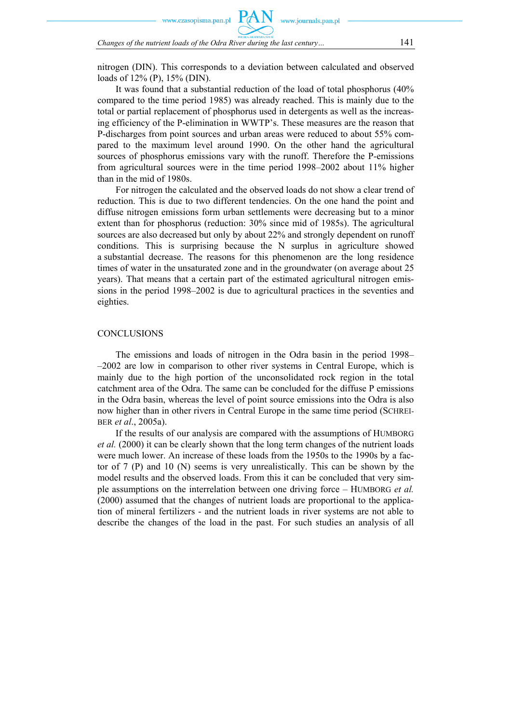czasopisma.pan.pl

*Changes of the nutrient loads of the Odra River during the last century…* 141

nitrogen (DIN). This corresponds to a deviation between calculated and observed loads of 12% (P), 15% (DIN).

It was found that a substantial reduction of the load of total phosphorus (40% compared to the time period 1985) was already reached. This is mainly due to the total or partial replacement of phosphorus used in detergents as well as the increasing efficiency of the P-elimination in WWTP's. These measures are the reason that P-discharges from point sources and urban areas were reduced to about 55% compared to the maximum level around 1990. On the other hand the agricultural sources of phosphorus emissions vary with the runoff. Therefore the P-emissions from agricultural sources were in the time period 1998–2002 about 11% higher than in the mid of 1980s.

For nitrogen the calculated and the observed loads do not show a clear trend of reduction. This is due to two different tendencies. On the one hand the point and diffuse nitrogen emissions form urban settlements were decreasing but to a minor extent than for phosphorus (reduction: 30% since mid of 1985s). The agricultural sources are also decreased but only by about 22% and strongly dependent on runoff conditions. This is surprising because the N surplus in agriculture showed a substantial decrease. The reasons for this phenomenon are the long residence times of water in the unsaturated zone and in the groundwater (on average about 25 years). That means that a certain part of the estimated agricultural nitrogen emissions in the period 1998–2002 is due to agricultural practices in the seventies and eighties.

#### **CONCLUSIONS**

The emissions and loads of nitrogen in the Odra basin in the period 1998– –2002 are low in comparison to other river systems in Central Europe, which is mainly due to the high portion of the unconsolidated rock region in the total catchment area of the Odra. The same can be concluded for the diffuse P emissions in the Odra basin, whereas the level of point source emissions into the Odra is also now higher than in other rivers in Central Europe in the same time period (SCHREI-BER *et al*., 2005a).

If the results of our analysis are compared with the assumptions of HUMBORG *et al.* (2000) it can be clearly shown that the long term changes of the nutrient loads were much lower. An increase of these loads from the 1950s to the 1990s by a factor of 7 (P) and 10 (N) seems is very unrealistically. This can be shown by the model results and the observed loads. From this it can be concluded that very simple assumptions on the interrelation between one driving force – HUMBORG *et al.* (2000) assumed that the changes of nutrient loads are proportional to the application of mineral fertilizers - and the nutrient loads in river systems are not able to describe the changes of the load in the past. For such studies an analysis of all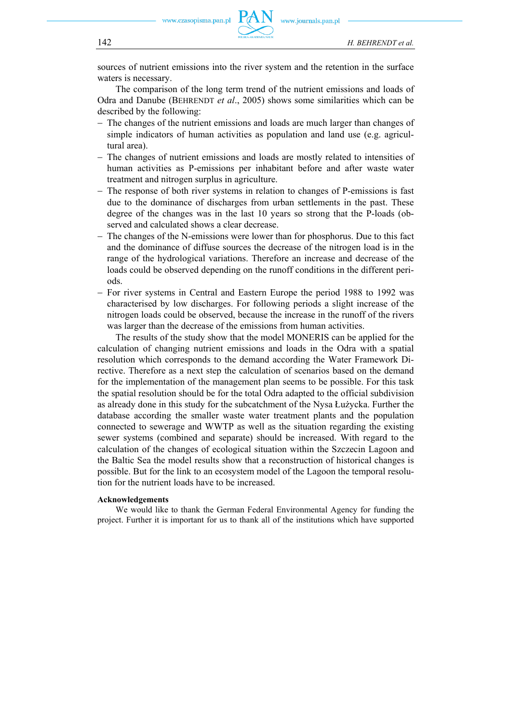zasopisma.pan.pl



sources of nutrient emissions into the river system and the retention in the surface waters is necessary.

The comparison of the long term trend of the nutrient emissions and loads of Odra and Danube (BEHRENDT *et al*., 2005) shows some similarities which can be described by the following:

- − The changes of the nutrient emissions and loads are much larger than changes of simple indicators of human activities as population and land use (e.g. agricultural area).
- − The changes of nutrient emissions and loads are mostly related to intensities of human activities as P-emissions per inhabitant before and after waste water treatment and nitrogen surplus in agriculture.
- − The response of both river systems in relation to changes of P-emissions is fast due to the dominance of discharges from urban settlements in the past. These degree of the changes was in the last 10 years so strong that the P-loads (observed and calculated shows a clear decrease.
- − The changes of the N-emissions were lower than for phosphorus. Due to this fact and the dominance of diffuse sources the decrease of the nitrogen load is in the range of the hydrological variations. Therefore an increase and decrease of the loads could be observed depending on the runoff conditions in the different periods.
- − For river systems in Central and Eastern Europe the period 1988 to 1992 was characterised by low discharges. For following periods a slight increase of the nitrogen loads could be observed, because the increase in the runoff of the rivers was larger than the decrease of the emissions from human activities.

The results of the study show that the model MONERIS can be applied for the calculation of changing nutrient emissions and loads in the Odra with a spatial resolution which corresponds to the demand according the Water Framework Directive. Therefore as a next step the calculation of scenarios based on the demand for the implementation of the management plan seems to be possible. For this task the spatial resolution should be for the total Odra adapted to the official subdivision as already done in this study for the subcatchment of the Nysa Łużycka. Further the database according the smaller waste water treatment plants and the population connected to sewerage and WWTP as well as the situation regarding the existing sewer systems (combined and separate) should be increased. With regard to the calculation of the changes of ecological situation within the Szczecin Lagoon and the Baltic Sea the model results show that a reconstruction of historical changes is possible. But for the link to an ecosystem model of the Lagoon the temporal resolution for the nutrient loads have to be increased.

## **Acknowledgements**

We would like to thank the German Federal Environmental Agency for funding the project. Further it is important for us to thank all of the institutions which have supported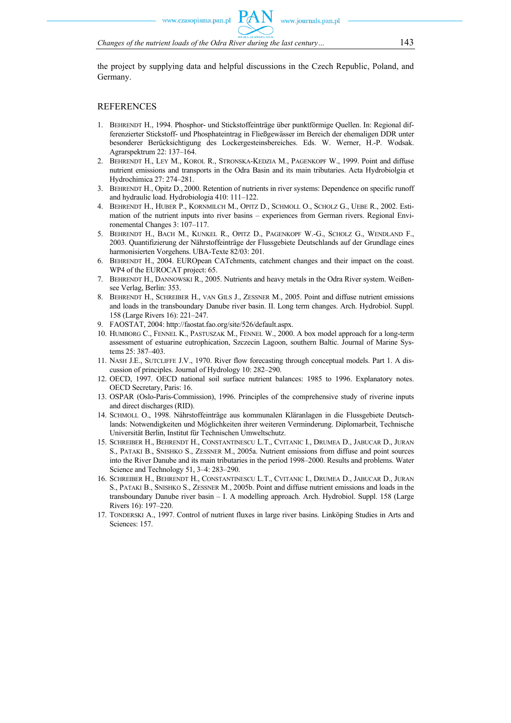*Changes of the nutrient loads of the Odra River during the last century…* 143

the project by supplying data and helpful discussions in the Czech Republic, Poland, and Germany.

## **REFERENCES**

- 1. BEHRENDT H., 1994. Phosphor- und Stickstoffeinträge über punktförmige Quellen. In: Regional differenzierter Stickstoff- und Phosphateintrag in Fließgewässer im Bereich der ehemaligen DDR unter besonderer Berücksichtigung des Lockergesteinsbereiches. Eds. W. Werner, H.-P. Wodsak. Agrarspektrum 22: 137–164.
- 2. BEHRENDT H., LEY M., KOROL R., STRONSKA-KEDZIA M., PAGENKOPF W., 1999. Point and diffuse nutrient emissions and transports in the Odra Basin and its main tributaries. Acta Hydrobiolgia et Hydrochimica 27: 274–281.
- 3. BEHRENDT H., Opitz D., 2000. Retention of nutrients in river systems: Dependence on specific runoff and hydraulic load. Hydrobiologia 410: 111–122.
- 4. BEHRENDT H., HUBER P., KORNMILCH M., OPITZ D., SCHMOLL O., SCHOLZ G., UEBE R., 2002. Estimation of the nutrient inputs into river basins – experiences from German rivers. Regional Environemental Changes 3: 107–117.
- 5. BEHRENDT H., BACH M., KUNKEL R., OPITZ D., PAGENKOPF W.-G., SCHOLZ G., WENDLAND F., 2003. Quantifizierung der Nährstoffeinträge der Flussgebiete Deutschlands auf der Grundlage eines harmonisierten Vorgehens. UBA-Texte 82/03: 201.
- 6. BEHRENDT H., 2004. EUROpean CATchments, catchment changes and their impact on the coast. WP4 of the EUROCAT project: 65.
- 7. BEHRENDT H., DANNOWSKI R., 2005. Nutrients and heavy metals in the Odra River system. Weißensee Verlag, Berlin: 353.
- 8. BEHRENDT H., SCHREIBER H., VAN GILS J., ZESSNER M., 2005. Point and diffuse nutrient emissions and loads in the transboundary Danube river basin. II. Long term changes. Arch. Hydrobiol. Suppl. 158 (Large Rivers 16): 221–247.
- 9. FAOSTAT, 2004: http://faostat.fao.org/site/526/default.aspx.
- 10. HUMBORG C., FENNEL K., PASTUSZAK M., FENNEL W., 2000. A box model approach for a long-term assessment of estuarine eutrophication, Szczecin Lagoon, southern Baltic. Journal of Marine Systems 25: 387–403.
- 11. NASH J.E., SUTCLIFFE J.V., 1970. River flow forecasting through conceptual models. Part 1. A discussion of principles. Journal of Hydrology 10: 282–290.
- 12. OECD, 1997. OECD national soil surface nutrient balances: 1985 to 1996. Explanatory notes. OECD Secretary, Paris: 16.
- 13. OSPAR (Oslo-Paris-Commission), 1996. Principles of the comprehensive study of riverine inputs and direct discharges (RID).
- 14. SCHMOLL O., 1998. Nährstoffeinträge aus kommunalen Kläranlagen in die Flussgebiete Deutschlands: Notwendigkeiten und Möglichkeiten ihrer weiteren Verminderung. Diplomarbeit, Technische Universität Berlin, Institut für Technischen Umweltschutz.
- 15. SCHREIBER H., BEHRENDT H., CONSTANTINESCU L.T., CVITANIC I., DRUMEA D., JABUCAR D., JURAN S., PATAKI B., SNISHKO S., ZESSNER M., 2005a. Nutrient emissions from diffuse and point sources into the River Danube and its main tributaries in the period 1998–2000. Results and problems. Water Science and Technology 51, 3–4: 283–290.
- 16. SCHREIBER H., BEHRENDT H., CONSTANTINESCU L.T., CVITANIC I., DRUMEA D., JABUCAR D., JURAN S., PATAKI B., SNISHKO S., ZESSNER M., 2005b. Point and diffuse nutrient emissions and loads in the transboundary Danube river basin – I. A modelling approach. Arch. Hydrobiol. Suppl. 158 (Large Rivers 16): 197–220.
- 17. TONDERSKI A., 1997. Control of nutrient fluxes in large river basins. Linköping Studies in Arts and Sciences: 157.